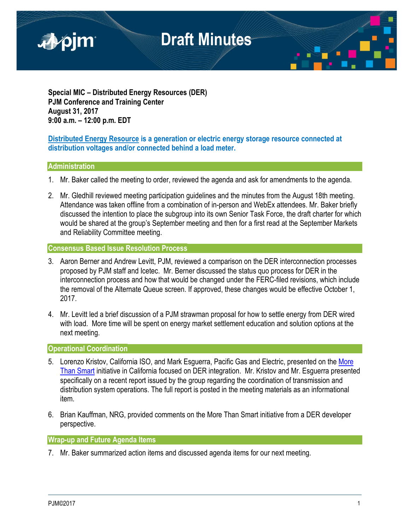

**Special MIC – Distributed Energy Resources (DER) PJM Conference and Training Center August 31, 2017 9:00 a.m. – 12:00 p.m. EDT**

### **Distributed Energy Resource is a generation or electric energy storage resource connected at distribution voltages and/or connected behind a load meter.**

### **Administration**

- 1. Mr. Baker called the meeting to order, reviewed the agenda and ask for amendments to the agenda.
- 2. Mr. Gledhill reviewed meeting participation guidelines and the minutes from the August 18th meeting. Attendance was taken offline from a combination of in-person and WebEx attendees. Mr. Baker briefly discussed the intention to place the subgroup into its own Senior Task Force, the draft charter for which would be shared at the group's September meeting and then for a first read at the September Markets and Reliability Committee meeting.

### **Consensus Based Issue Resolution Process**

- 3. Aaron Berner and Andrew Levitt, PJM, reviewed a comparison on the DER interconnection processes proposed by PJM staff and Icetec. Mr. Berner discussed the status quo process for DER in the interconnection process and how that would be changed under the FERC-filed revisions, which include the removal of the Alternate Queue screen. If approved, these changes would be effective October 1, 2017.
- 4. Mr. Levitt led a brief discussion of a PJM strawman proposal for how to settle energy from DER wired with load. More time will be spent on energy market settlement education and solution options at the next meeting.

### **Operational Coordination**

- 5. Lorenzo Kristov, California ISO, and Mark Esquerra, Pacific Gas and Electric, presented on the More [Than Smart](http://morethansmart.org/) initiative in California focused on DER integration. Mr. Kristov and Mr. Esguerra presented specifically on a recent report issued by the group regarding the coordination of transmission and distribution system operations. The full report is posted in the meeting materials as an informational item.
- 6. Brian Kauffman, NRG, provided comments on the More Than Smart initiative from a DER developer perspective.

### **Wrap-up and Future Agenda Items**

7. Mr. Baker summarized action items and discussed agenda items for our next meeting.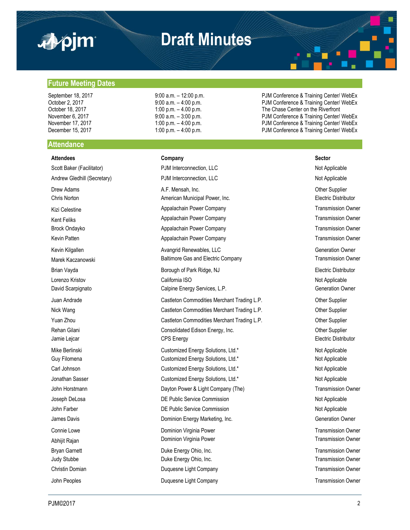

**Future Meeting Dates**

### **Draft Minutes**

September 18, 2017 9:00 a.m. – 12:00 p.m. PJM Conference & Training Center/ WebEx October 2, 2017 **9:00 a.m.** – 4:00 p.m. PJM Conference & Training Center/ WebEx<br>October 18, 2017 **1:00 p.m.** – 4.00 p.m. Particle and the Chase Center on the Riverfront The Chase Center on the Riverfront November 6, 2017 **19:00 a.m.** – 3:00 p.m. **PJM Conference & Training Center/ WebEx** November 17, 2017 **1:00 p.m.** – 4:00 p.m. **PJM Conference & Training Center/ WebEx** December 15, 2017 **1:00 p.m.** – 4:00 p.m. – 4:00 p.m. PJM Conference & Training Center/ WebEx

### **Attendance**

**Attendees Company Sector** Scott Baker (Facilitator) **PJM Interconnection, LLC** Not Applicable Not Applicable Andrew Gledhill (Secretary) **PJM Interconnection, LLC** Not Applicable Not Applicable Drew Adams **A.F. Mensah, Inc. Character Adams** Other Supplier Chris Norton American Municipal Power, Inc. Electric Distributor Kizi Celestine **Appalachain Power Company Company** Transmission Owner Company Kent Feliks **Appalachain Power Company Company** Transmission Owner Company Brock Ondayko **Appalachain Power Company Company** Transmission Owner Company **Transmission Owner** Kevin Patten **Appalachain Power Company Company** Transmission Owner Company **Transmission Owner** Kevin Kilgallen **Avangrid Renewables, LLC Avangrid Renewables** Avangrid Renewables Avangrid Renewables Avangrid Renewables Avangrid Renewables Avangrid Renewables Avangrid Renewables Avangrid Renewables Avangrid Renewabl Marek Kaczanowski **Electric Company** Baltimore Gas and Electric Company Transmission Owner Brian Vayda **Borough of Park Ridge, NJ** Borough of Park Ridge, NJ **Electric Distributor** Lorenzo Kristov California ISO Not Applicable David Scarpignato **Calpine Energy Services, L.P.** Calpine Energy Services, L.P. Commercial Commercial Commercial Commercial Commercial Commercial Commercial Commercial Commercial Commercial Commercial Commercial Commercial Juan Andrade Castleton Commodities Merchant Trading L.P. Other Supplier Nick Wang **Castleton Commodities Merchant Trading L.P.** Commodities Merchant Trading L.P. Yuan Zhou **Castleton Commodities Merchant Trading L.P.** Commercial Commodities Merchant Trading L.P. **Other Supplier** Rehan Gilani **Consolidated Edison Energy, Inc.** Consolidated Edison Energy, Inc. Computer Supplier Jamie Lejcar **CPS Energy** CPS Energy **CPS Energy** Electric Distributor Mike Berlinski **Nicholas Customized Energy Solutions, Ltd.\*** Not Applicable Not Applicable Guy Filomena **Customized Energy Solutions, Ltd.\*** Not Applicable Not Applicable Carl Johnson **Customized Energy Solutions, Ltd.\*** Not Applicable Not Applicable Jonathan Sasser **Customized Energy Solutions, Ltd.\*** Not Applicable Not Applicable John Horstmann **Dayton Power & Light Company (The)** Transmission Owner Company (The Company Company Company Company Company Company Company Company Company Company Company Company Company Company Company Company Company Co Joseph DeLosa **DE Public Service Commission** DE Public Service Commission Not Applicable John Farber **DE Public Service Commission DE Public Service Commission** Not Applicable James Davis **Dominion Energy Marketing, Inc.** Change Commercial Commercial Commercial Commercial Commercial Commercial Commercial Commercial Commercial Commercial Commercial Commercial Commercial Commercial Commercial Comm Connie Lowe **Connie Lowe Dominion Virginia Power Transmission Owner Transmission Owner** Abhijit Rajan **Natural Properties Communist Communist Communist Communist Communist Communist Communist Communist Communist Communist Communist Communist Communist Communist Communist Communist Communist Communist Communis** Bryan Garnett **Example 20** Energy Ohio, Inc. Transmission Owner **Duke Energy Ohio, Inc.** Transmission Owner Judy Stubbe **Duke Energy Ohio, Inc.** Transmission Owner Christin Domian **Duquesne Light Company Christin Domian** Transmission Owner John Peoples **Duquesne Light Company Company** Transmission Owner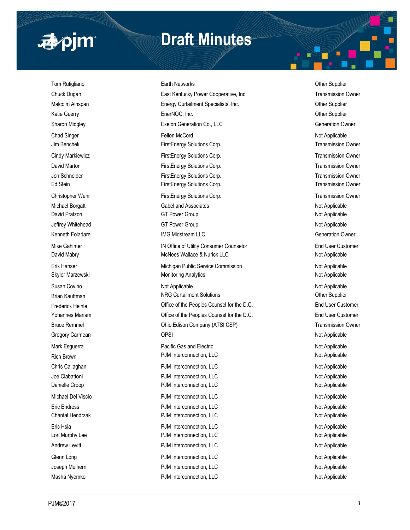

## **Draft Minutes**

Masha Nyemko **PJM Interconnection, LLC** Not Applicable Not Applicable

Tom Rutigliano **Earth Networks** Character Character Character Character Character Character Character Character Character Character Character Character Character Character Character Character Character Character Character Chuck Dugan **East Kentucky Power Cooperative, Inc.** Transmission Owner Cooperative, Inc. Malcolm Ainspan **Energy Curtailment Specialists, Inc.** Chronic Communisty Curtailment Specialists, Inc. Katie Guerry **EnerNOC, Inc.** Communication Contemporary EnerNOC, Inc. Communication Communication Communication Communication Communication Communication Communication Communication Communication Communication Communicatio Sharon Midgley **Sharon Midgley** Exelon Generation Co., LLC **Constant Constant Constant Constant Constant Constant Constant Constant Constant Constant Constant Constant Constant Constant Constant Constant Constant Constant** Chad Singer Fellon McCord Not Applicable Jim Benchek FirstEnergy Solutions Corp. Transmission Owner Cindy Markiewicz **FirstEnergy Solutions Corp.** Transmission Owner David Marton **FirstEnergy Solutions Corp.** Transmission Owner Corp. Transmission Owner Jon Schneider **FirstEnergy Solutions Corp.** Transmission Owner Corp. Transmission Owner Ed Stein FirstEnergy Solutions Corp. Transmission Owner Corp. Transmission Owner Christopher Wehr FirstEnergy Solutions Corp. Transmission Owner Christopher Wehr Fransmission Owner Michael Borgatti **Michael Borgatti** Gabel and Associates Not Applicable Not Applicable David Pratzon **COLL Accord COVERTS COVERTS** GT Power Group Not Applicable Not Applicable Jeffrey Whitehead **GT Power Group COM** COMPONE COMPONE ASSESSMENT ASSESSMENT ASSESSMENT ASSESSMENT ASSESSMENT ACCOMPONENT AND INCLUDENT ACCOMPONENT ACCOMPONENT ACCOMPONENT ACCOMPONENT ACCOMPONENT ACCOMPONENT ACCOMPONENT AC Kenneth Foladare **IMG Midstream LLC** Generation Owner Mike Gahimer **IN Office of Utility Consumer Counselor** End User Customer Customer David Mabry **McNees Wallace & Nurick LLC** Not Applicable Not Applicable Erik Hanser Not Applicable Not Applicable Michigan Public Service Commission Not Applicable Skyler Marzewski **Monitoring Analytics** Monitoring Analytics Not Applicable Susan Covino **Not Applicable** Not Applicable **Not Applicable** Not Applicable Not Applicable Not Applicable Brian Kauffman Natur Allen Curtailment Solutions Curtailment Solutions Charles Curtailment Current Current Current Current Current Current Current Current Current Current Current Current Current Current Current Current Cur Frederick Heinle **End User Customer** Office of the Peoples Counsel for the D.C. **End User Customer** Customer Yohannes Mariam **Communist Communist Communist Communist Communist Communist Conflict** Customer Customer Customer Bruce Remmel **Example 2018** Ohio Edison Company (ATSI CSP) **Transmission Owner** Company (ATSI CSP) Gregory Carmean **Carmean** OPSI **Carmean** OPSI **Not Applicable** Mark Esguerra **Not Applicable** Pacific Gas and Electric Not Applicable Not Applicable Rich Brown Not Applicable PJM Interconnection, LLC Not Applicable Not Applicable Chris Callaghan **PJM Interconnection, LLC** Not Applicable Not Applicable Joe Ciabattoni **Not Applicable** PJM Interconnection, LLC Not Applicable Not Applicable Danielle Croop **PJM Interconnection, LLC** Not Applicable Not Applicable Michael Del Viscio **Not Applicable** PJM Interconnection, LLC Not Applicable Not Applicable Eric Endress **PJM Interconnection, LLC** Not Applicable Not Applicable Chantal Hendrzak **PJM Interconnection, LLC** Not Applicable Not Applicable Eric Hsia **PJM Interconnection, LLC** Not Applicable Not Applicable Lori Murphy Lee **Not Applicable** PJM Interconnection, LLC **Not Applicable** Not Applicable Andrew Levitt **Andrew Levitt** PJM Interconnection, LLC **Andrew Levitt** Not Applicable Glenn Long Not Applicable PJM Interconnection, LLC Not Applicable Not Applicable Joseph Mulhern **National PJM Interconnection, LLC** Not Applicable Not Applicable